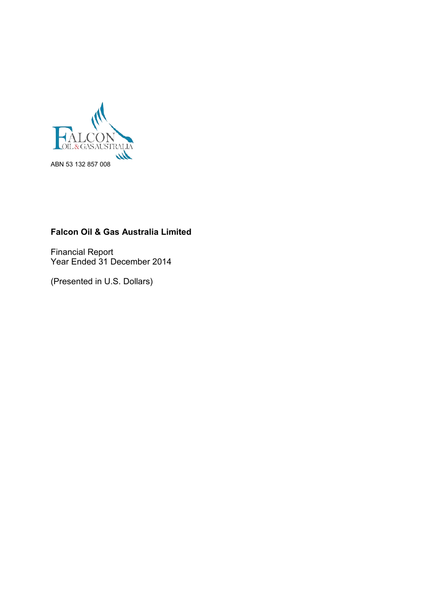

# **Falcon Oil & Gas Australia Limited**

Financial Report Year Ended 31 December 2014

(Presented in U.S. Dollars)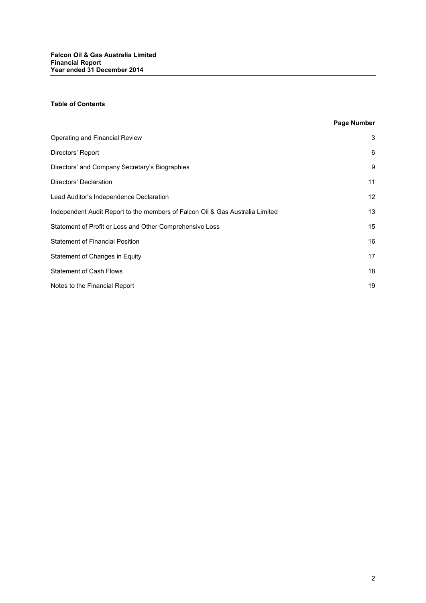# **Table of Contents**

# **Page Number**

| Operating and Financial Review                                                | 3  |
|-------------------------------------------------------------------------------|----|
| Directors' Report                                                             | 6  |
| Directors' and Company Secretary's Biographies                                | 9  |
| Directors' Declaration                                                        | 11 |
| Lead Auditor's Independence Declaration                                       | 12 |
| Independent Audit Report to the members of Falcon Oil & Gas Australia Limited | 13 |
| Statement of Profit or Loss and Other Comprehensive Loss                      | 15 |
| <b>Statement of Financial Position</b>                                        | 16 |
| Statement of Changes in Equity                                                | 17 |
| <b>Statement of Cash Flows</b>                                                | 18 |
| Notes to the Financial Report                                                 | 19 |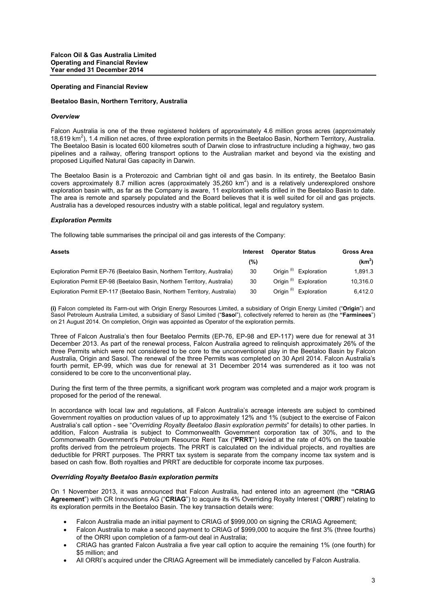#### **Operating and Financial Review**

#### **Beetaloo Basin, Northern Territory, Australia**

#### *Overview*

Falcon Australia is one of the three registered holders of approximately 4.6 million gross acres (approximately 18,619 km<sup>2</sup>), 1.4 million net acres, of three exploration permits in the Beetaloo Basin, Northern Territory, Australia. The Beetaloo Basin is located 600 kilometres south of Darwin close to infrastructure including a highway, two gas pipelines and a railway, offering transport options to the Australian market and beyond via the existing and proposed Liquified Natural Gas capacity in Darwin.

The Beetaloo Basin is a Proterozoic and Cambrian tight oil and gas basin. In its entirety, the Beetaloo Basin covers approximately 8.7 million acres (approximately 35,260  $km^2$ ) and is a relatively underexplored onshore exploration basin with, as far as the Company is aware, 11 exploration wells drilled in the Beetaloo Basin to date. The area is remote and sparsely populated and the Board believes that it is well suited for oil and gas projects. Australia has a developed resources industry with a stable political, legal and regulatory system.

#### *Exploration Permits*

The following table summarises the principal oil and gas interests of the Company:

| <b>Assets</b>                                                             | Interest | <b>Operator Status</b>               | Gross Area |
|---------------------------------------------------------------------------|----------|--------------------------------------|------------|
|                                                                           | (%)      |                                      | $(km^2)$   |
| Exploration Permit EP-76 (Beetaloo Basin, Northern Territory, Australia)  | 30       | Origin <sup>(i)</sup> Exploration    | 1.891.3    |
| Exploration Permit EP-98 (Beetaloo Basin, Northern Territory, Australia)  | 30       | Origin <sup>(i)</sup><br>Exploration | 10.316.0   |
| Exploration Permit EP-117 (Beetaloo Basin, Northern Territory, Australia) | 30       | Origin <sup>(i)</sup><br>Exploration | 6.412.0    |

**(i)** Falcon completed its Farm-out with Origin Energy Resources Limited, a subsidiary of Origin Energy Limited ("**Origin**") and Sasol Petroleum Australia Limited, a subsidiary of Sasol Limited ("**Saso**l"), collectively referred to herein as (the **"Farminees**") on 21 August 2014. On completion, Origin was appointed as Operator of the exploration permits.

Three of Falcon Australia's then four Beetaloo Permits (EP-76, EP-98 and EP-117) were due for renewal at 31 December 2013. As part of the renewal process, Falcon Australia agreed to relinquish approximately 26% of the three Permits which were not considered to be core to the unconventional play in the Beetaloo Basin by Falcon Australia, Origin and Sasol. The renewal of the three Permits was completed on 30 April 2014. Falcon Australia's fourth permit, EP-99, which was due for renewal at 31 December 2014 was surrendered as it too was not considered to be core to the unconventional play**.**

During the first term of the three permits, a significant work program was completed and a major work program is proposed for the period of the renewal.

In accordance with local law and regulations, all Falcon Australia's acreage interests are subject to combined Government royalties on production values of up to approximately 12% and 1% (subject to the exercise of Falcon Australia's call option - see "*Overriding Royalty Beetaloo Basin exploration permits*" for details) to other parties. In addition, Falcon Australia is subject to Commonwealth Government corporation tax of 30%, and to the Commonwealth Government's Petroleum Resource Rent Tax ("**PRRT**") levied at the rate of 40% on the taxable profits derived from the petroleum projects. The PRRT is calculated on the individual projects, and royalties are deductible for PRRT purposes. The PRRT tax system is separate from the company income tax system and is based on cash flow. Both royalties and PRRT are deductible for corporate income tax purposes.

#### *Overriding Royalty Beetaloo Basin exploration permits*

On 1 November 2013, it was announced that Falcon Australia, had entered into an agreement (the **"CRIAG Agreement**") with CR Innovations AG ("**CRIAG**") to acquire its 4% Overriding Royalty Interest ("**ORRI**") relating to its exploration permits in the Beetaloo Basin. The key transaction details were:

- Falcon Australia made an initial payment to CRIAG of \$999,000 on signing the CRIAG Agreement;
- Falcon Australia to make a second payment to CRIAG of \$999,000 to acquire the first 3% (three fourths) of the ORRI upon completion of a farm-out deal in Australia;
- CRIAG has granted Falcon Australia a five year call option to acquire the remaining 1% (one fourth) for \$5 million; and
- All ORRI's acquired under the CRIAG Agreement will be immediately cancelled by Falcon Australia.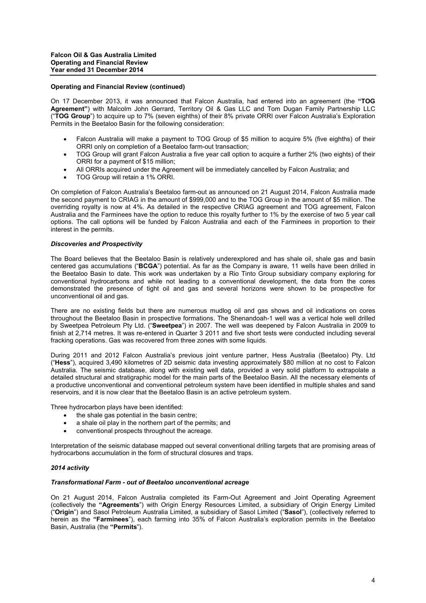#### **Operating and Financial Review (continued)**

On 17 December 2013, it was announced that Falcon Australia, had entered into an agreement (the **"TOG Agreement"**) with Malcolm John Gerrard, Territory Oil & Gas LLC and Tom Dugan Family Partnership LLC ("**TOG Group**") to acquire up to 7% (seven eighths) of their 8% private ORRI over Falcon Australia's Exploration Permits in the Beetaloo Basin for the following consideration:

- Falcon Australia will make a payment to TOG Group of \$5 million to acquire 5% (five eighths) of their ORRI only on completion of a Beetaloo farm-out transaction;
- TOG Group will grant Falcon Australia a five year call option to acquire a further 2% (two eights) of their ORRI for a payment of \$15 million;
- All ORRIs acquired under the Agreement will be immediately cancelled by Falcon Australia; and
- TOG Group will retain a 1% ORRI.

On completion of Falcon Australia's Beetaloo farm-out as announced on 21 August 2014, Falcon Australia made the second payment to CRIAG in the amount of \$999,000 and to the TOG Group in the amount of \$5 million. The overriding royalty is now at 4%. As detailed in the respective CRIAG agreement and TOG agreement, Falcon Australia and the Farminees have the option to reduce this royalty further to 1% by the exercise of two 5 year call options. The call options will be funded by Falcon Australia and each of the Farminees in proportion to their interest in the permits.

#### *Discoveries and Prospectivity*

The Board believes that the Beetaloo Basin is relatively underexplored and has shale oil, shale gas and basin centered gas accumulations ("**BCGA**") potential. As far as the Company is aware, 11 wells have been drilled in the Beetaloo Basin to date. This work was undertaken by a Rio Tinto Group subsidiary company exploring for conventional hydrocarbons and while not leading to a conventional development, the data from the cores demonstrated the presence of tight oil and gas and several horizons were shown to be prospective for unconventional oil and gas.

There are no existing fields but there are numerous mudlog oil and gas shows and oil indications on cores throughout the Beetaloo Basin in prospective formations. The Shenandoah-1 well was a vertical hole well drilled by Sweetpea Petroleum Pty Ltd. ("**Sweetpea**") in 2007. The well was deepened by Falcon Australia in 2009 to finish at 2,714 metres. It was re-entered in Quarter 3 2011 and five short tests were conducted including several fracking operations. Gas was recovered from three zones with some liquids.

During 2011 and 2012 Falcon Australia's previous joint venture partner, Hess Australia (Beetaloo) Pty. Ltd ("**Hess**"), acquired 3,490 kilometres of 2D seismic data investing approximately \$80 million at no cost to Falcon Australia. The seismic database, along with existing well data, provided a very solid platform to extrapolate a detailed structural and stratigraphic model for the main parts of the Beetaloo Basin. All the necessary elements of a productive unconventional and conventional petroleum system have been identified in multiple shales and sand reservoirs, and it is now clear that the Beetaloo Basin is an active petroleum system.

Three hydrocarbon plays have been identified:

- the shale gas potential in the basin centre;
- a shale oil play in the northern part of the permits; and
- conventional prospects throughout the acreage.

Interpretation of the seismic database mapped out several conventional drilling targets that are promising areas of hydrocarbons accumulation in the form of structural closures and traps.

#### *2014 activity*

#### *Transformational Farm - out of Beetaloo unconventional acreage*

On 21 August 2014, Falcon Australia completed its Farm-Out Agreement and Joint Operating Agreement (collectively the **"Agreements**") with Origin Energy Resources Limited, a subsidiary of Origin Energy Limited ("**Origin**") and Sasol Petroleum Australia Limited, a subsidiary of Sasol Limited ("**Sasol**"), (collectively referred to herein as the **"Farminees**"), each farming into 35% of Falcon Australia's exploration permits in the Beetaloo Basin, Australia (the **"Permits**").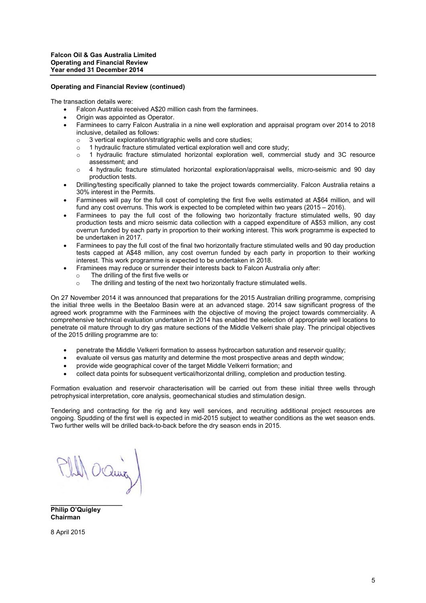#### **Operating and Financial Review (continued)**

The transaction details were:

- Falcon Australia received A\$20 million cash from the farminees.
- Origin was appointed as Operator.
- Farminees to carry Falcon Australia in a nine well exploration and appraisal program over 2014 to 2018 inclusive, detailed as follows:
	- o 3 vertical exploration/stratigraphic wells and core studies;
	- $\circ$  1 hydraulic fracture stimulated vertical exploration well and core study;<br> $\circ$  1 hydraulic fracture stimulated horizontal exploration well commerc
	- o 1 hydraulic fracture stimulated horizontal exploration well, commercial study and 3C resource assessment; and
	- o 4 hydraulic fracture stimulated horizontal exploration/appraisal wells, micro-seismic and 90 day production tests.
- Drilling/testing specifically planned to take the project towards commerciality. Falcon Australia retains a 30% interest in the Permits.
- Farminees will pay for the full cost of completing the first five wells estimated at A\$64 million, and will fund any cost overruns. This work is expected to be completed within two years (2015 – 2016).
- Farminees to pay the full cost of the following two horizontally fracture stimulated wells, 90 day production tests and micro seismic data collection with a capped expenditure of A\$53 million, any cost overrun funded by each party in proportion to their working interest. This work programme is expected to be undertaken in 2017.
- Farminees to pay the full cost of the final two horizontally fracture stimulated wells and 90 day production tests capped at A\$48 million, any cost overrun funded by each party in proportion to their working interest. This work programme is expected to be undertaken in 2018.
- Framinees may reduce or surrender their interests back to Falcon Australia only after:
	- o The drilling of the first five wells or
	- o The drilling and testing of the next two horizontally fracture stimulated wells.

On 27 November 2014 it was announced that preparations for the 2015 Australian drilling programme, comprising the initial three wells in the Beetaloo Basin were at an advanced stage. 2014 saw significant progress of the agreed work programme with the Farminees with the objective of moving the project towards commerciality. A comprehensive technical evaluation undertaken in 2014 has enabled the selection of appropriate well locations to penetrate oil mature through to dry gas mature sections of the Middle Velkerri shale play. The principal objectives of the 2015 drilling programme are to:

- penetrate the Middle Velkerri formation to assess hydrocarbon saturation and reservoir quality:
- evaluate oil versus gas maturity and determine the most prospective areas and depth window;
- provide wide geographical cover of the target Middle Velkerri formation; and
- collect data points for subsequent vertical/horizontal drilling, completion and production testing.

Formation evaluation and reservoir characterisation will be carried out from these initial three wells through petrophysical interpretation, core analysis, geomechanical studies and stimulation design.

Tendering and contracting for the rig and key well services, and recruiting additional project resources are ongoing. Spudding of the first well is expected in mid-2015 subject to weather conditions as the wet season ends. Two further wells will be drilled back-to-back before the dry season ends in 2015.

1 O'aung

**Philip O'Quigley Chairman**

**\_\_\_\_\_\_\_\_\_\_\_\_\_\_\_\_\_\_\_\_**

8 April 2015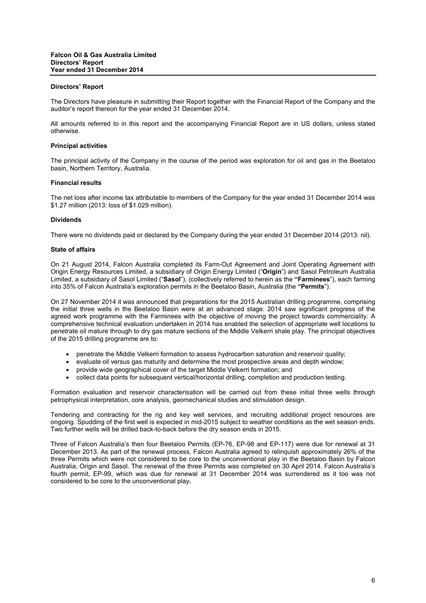#### **Directors' Report**

The Directors have pleasure in submitting their Report together with the Financial Report of the Company and the auditor's report thereon for the year ended 31 December 2014.

All amounts referred to in this report and the accompanying Financial Report are in US dollars, unless stated otherwise.

#### **Principal activities**

The principal activity of the Company in the course of the period was exploration for oil and gas in the Beetaloo basin, Northern Territory, Australia.

#### **Financial results**

The net loss after income tax attributable to members of the Company for the year ended 31 December 2014 was \$1.27 million (2013: loss of \$1.029 million).

#### **Dividends**

There were no dividends paid or declared by the Company during the year ended 31 December 2014 (2013: nil).

#### **State of affairs**

On 21 August 2014, Falcon Australia completed its Farm-Out Agreement and Joint Operating Agreement with Origin Energy Resources Limited, a subsidiary of Origin Energy Limited ("**Origin**") and Sasol Petroleum Australia Limited, a subsidiary of Sasol Limited ("**Sasol**"), (collectively referred to herein as the **"Farminees**"), each farming into 35% of Falcon Australia's exploration permits in the Beetaloo Basin, Australia (the **"Permits**").

On 27 November 2014 it was announced that preparations for the 2015 Australian drilling programme, comprising the initial three wells in the Beetaloo Basin were at an advanced stage. 2014 saw significant progress of the agreed work programme with the Farminees with the objective of moving the project towards commerciality. A comprehensive technical evaluation undertaken in 2014 has enabled the selection of appropriate well locations to penetrate oil mature through to dry gas mature sections of the Middle Velkerri shale play. The principal objectives of the 2015 drilling programme are to:

- penetrate the Middle Velkerri formation to assess hydrocarbon saturation and reservoir quality;
- evaluate oil versus gas maturity and determine the most prospective areas and depth window;
- provide wide geographical cover of the target Middle Velkerri formation; and
- collect data points for subsequent vertical/horizontal drilling, completion and production testing.

Formation evaluation and reservoir characterisation will be carried out from these initial three wells through petrophysical interpretation, core analysis, geomechanical studies and stimulation design.

Tendering and contracting for the rig and key well services, and recruiting additional project resources are ongoing. Spudding of the first well is expected in mid-2015 subject to weather conditions as the wet season ends. Two further wells will be drilled back-to-back before the dry season ends in 2015.

Three of Falcon Australia's then four Beetaloo Permits (EP-76, EP-98 and EP-117) were due for renewal at 31 December 2013. As part of the renewal process, Falcon Australia agreed to relinquish approximately 26% of the three Permits which were not considered to be core to the unconventional play in the Beetaloo Basin by Falcon Australia, Origin and Sasol. The renewal of the three Permits was completed on 30 April 2014. Falcon Australia's fourth permit, EP-99, which was due for renewal at 31 December 2014 was surrendered as it too was not considered to be core to the unconventional play**.**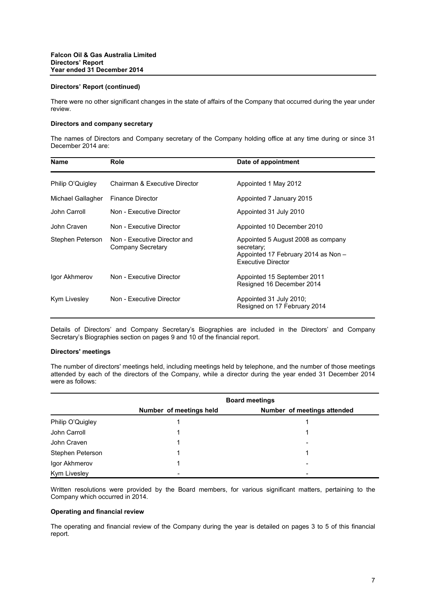#### **Directors' Report (continued)**

There were no other significant changes in the state of affairs of the Company that occurred during the year under review.

# **Directors and company secretary**

The names of Directors and Company secretary of the Company holding office at any time during or since 31 December 2014 are:

| <b>Name</b>       | <b>Role</b>                                       | Date of appointment                                                                                                  |
|-------------------|---------------------------------------------------|----------------------------------------------------------------------------------------------------------------------|
| Philip O'Quigley  | Chairman & Executive Director                     | Appointed 1 May 2012                                                                                                 |
| Michael Gallagher | <b>Finance Director</b>                           | Appointed 7 January 2015                                                                                             |
| John Carroll      | Non - Executive Director                          | Appointed 31 July 2010                                                                                               |
| John Craven       | Non - Executive Director                          | Appointed 10 December 2010                                                                                           |
| Stephen Peterson  | Non - Executive Director and<br>Company Secretary | Appointed 5 August 2008 as company<br>secretary;<br>Appointed 17 February 2014 as Non -<br><b>Executive Director</b> |
| Igor Akhmerov     | Non - Executive Director                          | Appointed 15 September 2011<br>Resigned 16 December 2014                                                             |
| Kym Livesley      | Non - Executive Director                          | Appointed 31 July 2010;<br>Resigned on 17 February 2014                                                              |

Details of Directors' and Company Secretary's Biographies are included in the Directors' and Company Secretary's Biographies section on pages 9 and 10 of the financial report.

#### **Directors' meetings**

The number of directors' meetings held, including meetings held by telephone, and the number of those meetings attended by each of the directors of the Company, while a director during the year ended 31 December 2014 were as follows:

|                  | <b>Board meetings</b>   |                             |  |  |
|------------------|-------------------------|-----------------------------|--|--|
|                  | Number of meetings held | Number of meetings attended |  |  |
| Philip O'Quigley |                         |                             |  |  |
| John Carroll     |                         |                             |  |  |
| John Craven      |                         |                             |  |  |
| Stephen Peterson |                         |                             |  |  |
| Igor Akhmerov    |                         |                             |  |  |
| Kym Livesley     |                         |                             |  |  |

Written resolutions were provided by the Board members, for various significant matters, pertaining to the Company which occurred in 2014.

#### **Operating and financial review**

The operating and financial review of the Company during the year is detailed on pages 3 to 5 of this financial report.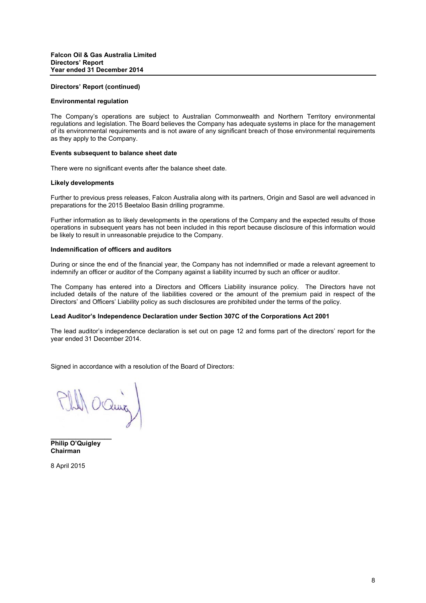#### **Directors' Report (continued)**

#### **Environmental regulation**

The Company's operations are subject to Australian Commonwealth and Northern Territory environmental regulations and legislation. The Board believes the Company has adequate systems in place for the management of its environmental requirements and is not aware of any significant breach of those environmental requirements as they apply to the Company.

#### **Events subsequent to balance sheet date**

There were no significant events after the balance sheet date.

#### **Likely developments**

Further to previous press releases, Falcon Australia along with its partners, Origin and Sasol are well advanced in preparations for the 2015 Beetaloo Basin drilling programme.

Further information as to likely developments in the operations of the Company and the expected results of those operations in subsequent years has not been included in this report because disclosure of this information would be likely to result in unreasonable prejudice to the Company.

#### **Indemnification of officers and auditors**

During or since the end of the financial year, the Company has not indemnified or made a relevant agreement to indemnify an officer or auditor of the Company against a liability incurred by such an officer or auditor.

The Company has entered into a Directors and Officers Liability insurance policy. The Directors have not included details of the nature of the liabilities covered or the amount of the premium paid in respect of the Directors' and Officers' Liability policy as such disclosures are prohibited under the terms of the policy.

#### **Lead Auditor's Independence Declaration under Section 307C of the Corporations Act 2001**

The lead auditor's independence declaration is set out on page 12 and forms part of the directors' report for the year ended 31 December 2014.

Signed in accordance with a resolution of the Board of Directors:

1) Oching

**Philip O'Quigley Chairman**

**\_\_\_\_\_\_\_\_\_\_\_\_\_\_\_\_\_**

8 April 2015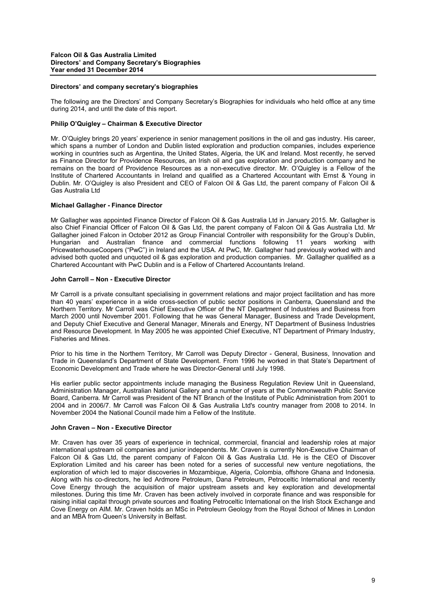#### **Directors' and company secretary's biographies**

The following are the Directors' and Company Secretary's Biographies for individuals who held office at any time during 2014, and until the date of this report.

#### **Philip O'Quigley – Chairman & Executive Director**

Mr. O'Quigley brings 20 years' experience in senior management positions in the oil and gas industry. His career, which spans a number of London and Dublin listed exploration and production companies, includes experience working in countries such as Argentina, the United States, Algeria, the UK and Ireland. Most recently, he served as Finance Director for Providence Resources, an Irish oil and gas exploration and production company and he remains on the board of Providence Resources as a non-executive director. Mr. O'Quigley is a Fellow of the Institute of Chartered Accountants in Ireland and qualified as a Chartered Accountant with Ernst & Young in Dublin. Mr. O'Quigley is also President and CEO of Falcon Oil & Gas Ltd, the parent company of Falcon Oil & Gas Australia Ltd

#### **Michael Gallagher - Finance Director**

Mr Gallagher was appointed Finance Director of Falcon Oil & Gas Australia Ltd in January 2015. Mr. Gallagher is also Chief Financial Officer of Falcon Oil & Gas Ltd, the parent company of Falcon Oil & Gas Australia Ltd. Mr Gallagher joined Falcon in October 2012 as Group Financial Controller with responsibility for the Group's Dublin, Hungarian and Australian finance and commercial functions following 11 years working with PricewaterhouseCoopers ("PwC") in Ireland and the USA. At PwC, Mr. Gallagher had previously worked with and advised both quoted and unquoted oil & gas exploration and production companies. Mr. Gallagher qualified as a Chartered Accountant with PwC Dublin and is a Fellow of Chartered Accountants Ireland.

## **John Carroll – Non - Executive Director**

Mr Carroll is a private consultant specialising in government relations and major project facilitation and has more than 40 years' experience in a wide cross-section of public sector positions in Canberra, Queensland and the Northern Territory. Mr Carroll was Chief Executive Officer of the NT Department of Industries and Business from March 2000 until November 2001. Following that he was General Manager, Business and Trade Development, and Deputy Chief Executive and General Manager, Minerals and Energy, NT Department of Business Industries and Resource Development. In May 2005 he was appointed Chief Executive, NT Department of Primary Industry, Fisheries and Mines.

Prior to his time in the Northern Territory, Mr Carroll was Deputy Director - General, Business, Innovation and Trade in Queensland's Department of State Development. From 1996 he worked in that State's Department of Economic Development and Trade where he was Director-General until July 1998.

His earlier public sector appointments include managing the Business Regulation Review Unit in Queensland, Administration Manager, Australian National Gallery and a number of years at the Commonwealth Public Service Board, Canberra. Mr Carroll was President of the NT Branch of the Institute of Public Administration from 2001 to 2004 and in 2006/7. Mr Carroll was Falcon Oil & Gas Australia Ltd's country manager from 2008 to 2014. In November 2004 the National Council made him a Fellow of the Institute.

#### **John Craven – Non - Executive Director**

Mr. Craven has over 35 years of experience in technical, commercial, financial and leadership roles at major international upstream oil companies and junior independents. Mr. Craven is currently Non-Executive Chairman of Falcon Oil & Gas Ltd, the parent company of Falcon Oil & Gas Australia Ltd. He is the CEO of Discover Exploration Limited and his career has been noted for a series of successful new venture negotiations, the exploration of which led to major discoveries in Mozambique, Algeria, Colombia, offshore Ghana and Indonesia. Along with his co-directors, he led Ardmore Petroleum, Dana Petroleum, Petroceltic International and recently Cove Energy through the acquisition of major upstream assets and key exploration and developmental milestones. During this time Mr. Craven has been actively involved in corporate finance and was responsible for raising initial capital through private sources and floating Petroceltic International on the Irish Stock Exchange and Cove Energy on AIM. Mr. Craven holds an MSc in Petroleum Geology from the Royal School of Mines in London and an MBA from Queen's University in Belfast.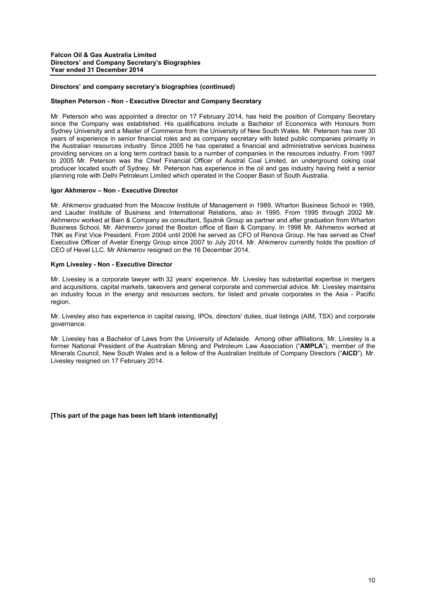#### **Directors' and company secretary's biographies (continued)**

#### **Stephen Peterson - Non - Executive Director and Company Secretary**

Mr. Peterson who was appointed a director on 17 February 2014, has held the position of Company Secretary since the Company was established. His qualifications include a Bachelor of Economics with Honours from Sydney University and a Master of Commerce from the University of New South Wales. Mr. Peterson has over 30 years of experience in senior financial roles and as company secretary with listed public companies primarily in the Australian resources industry. Since 2005 he has operated a financial and administrative services business providing services on a long term contract basis to a number of companies in the resources industry. From 1997 to 2005 Mr. Peterson was the Chief Financial Officer of Austral Coal Limited, an underground coking coal producer located south of Sydney. Mr. Peterson has experience in the oil and gas industry having held a senior planning role with Delhi Petroleum Limited which operated in the Cooper Basin of South Australia.

#### **Igor Akhmerov – Non - Executive Director**

Mr. Ahkmerov graduated from the Moscow Institute of Management in 1989, Wharton Business School in 1995, and Lauder Institute of Business and International Relations, also in 1995. From 1995 through 2002 Mr. Akhmerov worked at Bain & Company as consultant, Sputnik Group as partner and after graduation from Wharton Business School, Mr. Akhmerov joined the Boston office of Bain & Company. In 1998 Mr. Akhmerov worked at TNK as First Vice President. From 2004 until 2006 he served as CFO of Renova Group. He has served as Chief Executive Officer of Avelar Energy Group since 2007 to July 2014. Mr. Ahkmerov currently holds the position of CEO of Hevel LLC. Mr Ahkmerov resigned on the 16 December 2014.

#### **Kym Livesley - Non - Executive Director**

Mr. Livesley is a corporate lawyer with 32 years' experience. Mr. Livesley has substantial expertise in mergers and acquisitions, capital markets, takeovers and general corporate and commercial advice. Mr. Livesley maintains an industry focus in the energy and resources sectors, for listed and private corporates in the Asia - Pacific region.

Mr. Livesley also has experience in capital raising, IPOs, directors' duties, dual listings (AIM, TSX) and corporate governance.

Mr. Livesley has a Bachelor of Laws from the University of Adelaide. Among other affiliations, Mr. Livesley is a former National President of the Australian Mining and Petroleum Law Association ("**AMPLA**"), member of the Minerals Council, New South Wales and is a fellow of the Australian Institute of Company Directors ("**AICD**"). Mr. Livesley resigned on 17 February 2014.

**[This part of the page has been left blank intentionally]**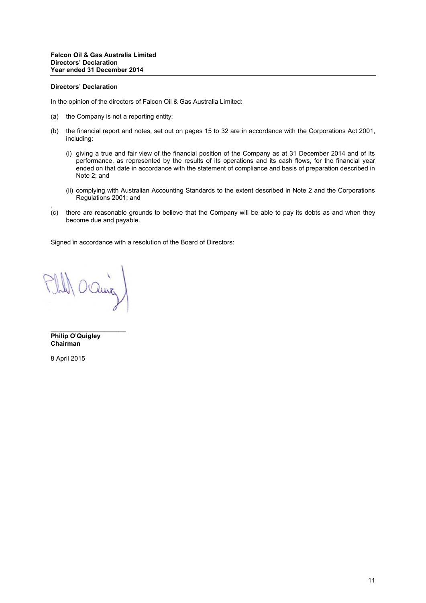#### **Directors' Declaration**

In the opinion of the directors of Falcon Oil & Gas Australia Limited:

- (a) the Company is not a reporting entity;
- (b) the financial report and notes, set out on pages 15 to 32 are in accordance with the Corporations Act 2001, including:
	- (i) giving a true and fair view of the financial position of the Company as at 31 December 2014 and of its performance, as represented by the results of its operations and its cash flows, for the financial year ended on that date in accordance with the statement of compliance and basis of preparation described in Note 2; and
	- (ii) complying with Australian Accounting Standards to the extent described in Note 2 and the Corporations Regulations 2001; and
- . (c) there are reasonable grounds to believe that the Company will be able to pay its debts as and when they become due and payable.

Signed in accordance with a resolution of the Board of Directors:

OQuing

**\_\_\_\_\_\_\_\_\_\_\_\_\_\_\_\_\_\_\_\_\_ Philip O'Quigley Chairman**

8 April 2015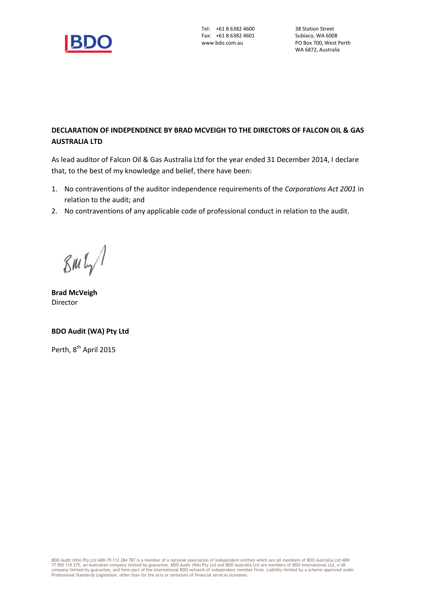

# **DECLARATION OF INDEPENDENCE BY BRAD MCVEIGH TO THE DIRECTORS OF FALCON OIL & GAS AUSTRALIA LTD**

As lead auditor of Falcon Oil & Gas Australia Ltd for the year ended 31 December 2014, I declare that, to the best of my knowledge and belief, there have been:

- 1. No contraventions of the auditor independence requirements of the *Corporations Act 2001* in relation to the audit; and
- 2. No contraventions of any applicable code of professional conduct in relation to the audit.

 $\mathcal{B}$ M $\mathfrak{l}_{\gamma}$ 

**Brad McVeigh** Director

# **BDO Audit (WA) Pty Ltd**

Perth, 8<sup>th</sup> April 2015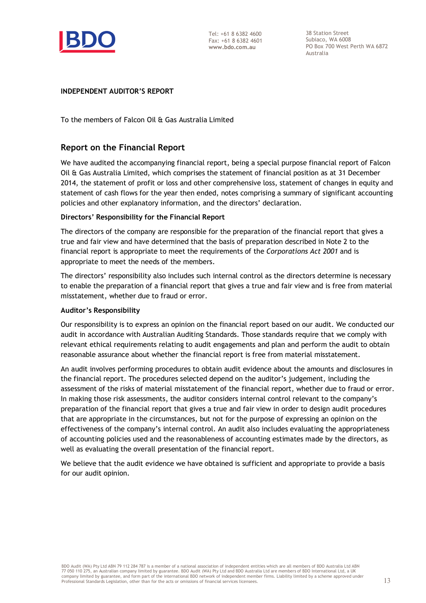

38 Station Street Subiaco, WA 6008 PO Box 700 West Perth WA 6872 Australia

# **INDEPENDENT AUDITOR'S REPORT**

To the members of Falcon Oil & Gas Australia Limited

# **Report on the Financial Report**

We have audited the accompanying financial report, being a special purpose financial report of Falcon Oil & Gas Australia Limited, which comprises the statement of financial position as at 31 December 2014, the statement of profit or loss and other comprehensive loss, statement of changes in equity and statement of cash flows for the year then ended, notes comprising a summary of significant accounting policies and other explanatory information, and the directors' declaration.

# **Directors' Responsibility for the Financial Report**

The directors of the company are responsible for the preparation of the financial report that gives a true and fair view and have determined that the basis of preparation described in Note 2 to the financial report is appropriate to meet the requirements of the *Corporations Act 2001* and is appropriate to meet the needs of the members.

The directors' responsibility also includes such internal control as the directors determine is necessary to enable the preparation of a financial report that gives a true and fair view and is free from material misstatement, whether due to fraud or error.

# **Auditor's Responsibility**

Our responsibility is to express an opinion on the financial report based on our audit. We conducted our audit in accordance with Australian Auditing Standards. Those standards require that we comply with relevant ethical requirements relating to audit engagements and plan and perform the audit to obtain reasonable assurance about whether the financial report is free from material misstatement.

An audit involves performing procedures to obtain audit evidence about the amounts and disclosures in the financial report. The procedures selected depend on the auditor's judgement, including the assessment of the risks of material misstatement of the financial report, whether due to fraud or error. In making those risk assessments, the auditor considers internal control relevant to the company's preparation of the financial report that gives a true and fair view in order to design audit procedures that are appropriate in the circumstances, but not for the purpose of expressing an opinion on the effectiveness of the company's internal control. An audit also includes evaluating the appropriateness of accounting policies used and the reasonableness of accounting estimates made by the directors, as well as evaluating the overall presentation of the financial report.

We believe that the audit evidence we have obtained is sufficient and appropriate to provide a basis for our audit opinion.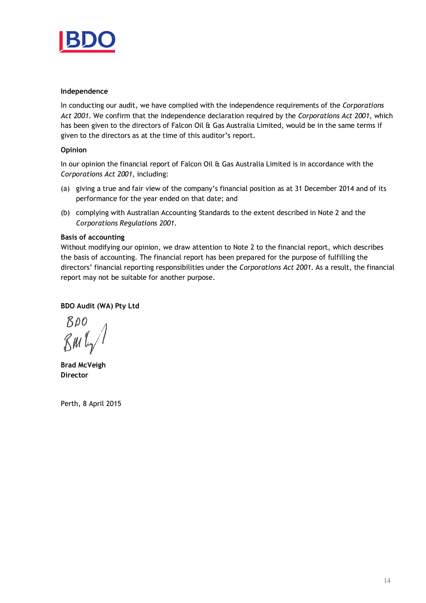

# **Independence**

In conducting our audit, we have complied with the independence requirements of the *Corporations Act 2001*. We confirm that the independence declaration required by the *Corporations Act 2001*, which has been given to the directors of Falcon Oil & Gas Australia Limited, would be in the same terms if given to the directors as at the time of this auditor's report.

# **Opinion**

In our opinion the financial report of Falcon Oil & Gas Australia Limited is in accordance with the *Corporations Act 2001*, including:

- (a) giving a true and fair view of the company's financial position as at 31 December 2014 and of its performance for the year ended on that date; and
- (b) complying with Australian Accounting Standards to the extent described in Note 2 and the *Corporations Regulations 2001.*

# **Basis of accounting**

Without modifying our opinion, we draw attention to Note 2 to the financial report, which describes the basis of accounting. The financial report has been prepared for the purpose of fulfilling the directors' financial reporting responsibilities under the *Corporations Act 2001*. As a result, the financial report may not be suitable for another purpose.

# **BDO Audit (WA) Pty Ltd**

 $BDO$ BML

**Brad McVeigh Director**

Perth, 8 April 2015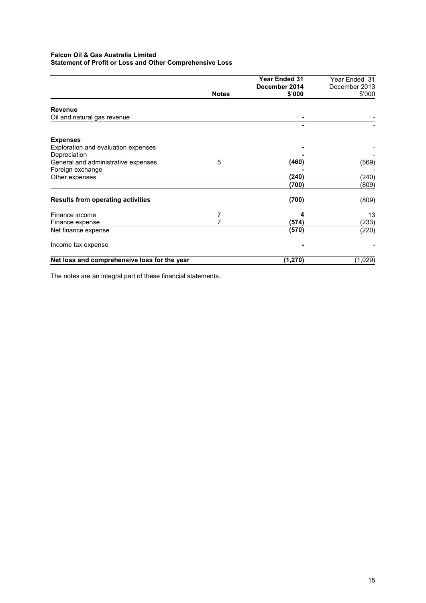# **Falcon Oil & Gas Australia Limited Statement of Profit or Loss and Other Comprehensive Loss**

|                                              |              | <b>Year Ended 31</b> | Year Ended 31 |
|----------------------------------------------|--------------|----------------------|---------------|
|                                              |              | December 2014        | December 2013 |
|                                              | <b>Notes</b> | \$'000               | \$'000        |
| <b>Revenue</b>                               |              |                      |               |
| Oil and natural gas revenue                  |              |                      |               |
|                                              |              |                      |               |
| <b>Expenses</b>                              |              |                      |               |
| Exploration and evaluation expenses          |              |                      |               |
| Depreciation                                 |              |                      |               |
| General and administrative expenses          | 5            | (460)                | (569)         |
| Foreign exchange                             |              |                      |               |
| Other expenses                               |              | (240)                | (240)         |
|                                              |              | (700)                | (809)         |
| <b>Results from operating activities</b>     |              | (700)                | (809)         |
| Finance income                               | 7            | 4                    | 13            |
| Finance expense                              | 7            | (574)                | (233)         |
| Net finance expense                          |              | (570)                | (220)         |
| Income tax expense                           |              |                      |               |
| Net loss and comprehensive loss for the year |              | (1, 270)             | (1,029)       |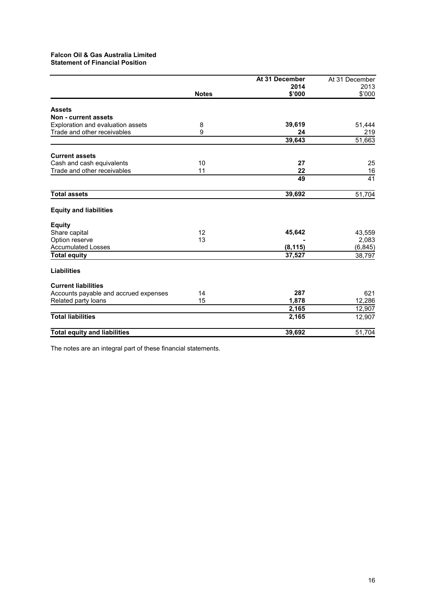# **Falcon Oil & Gas Australia Limited Statement of Financial Position**

| At 31 December | At 31 December |
|----------------|----------------|
| 2014           | 2013           |
| \$'000         | \$'000         |
|                |                |
|                |                |
| 39,619         | 51,444         |
| 24             | 219            |
| 39,643         | 51,663         |
|                |                |
| 27             | 25             |
| 22             | 16             |
| 49             | 41             |
| 39,692         | 51,704         |
|                |                |
|                |                |
| 45,642         | 43,559         |
|                | 2,083          |
| (8, 115)       | (6, 845)       |
| 37,527         | 38,797         |
|                |                |
|                |                |
| 287            | 621            |
| 1,878          | 12,286         |
| 2,165          | 12,907         |
| 2,165          | 12,907         |
| 39,692         | 51,704         |
|                |                |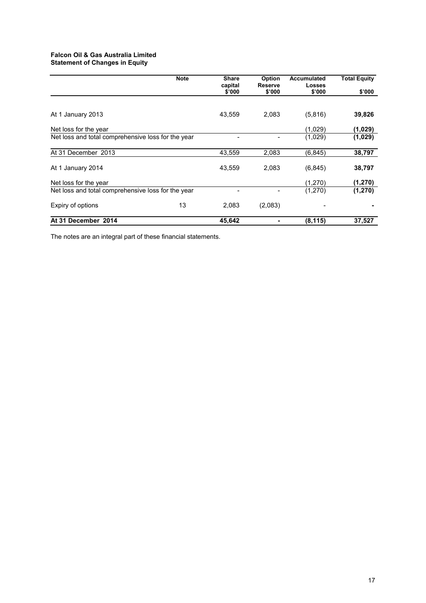# **Falcon Oil & Gas Australia Limited Statement of Changes in Equity**

|                                                    | <b>Note</b> | <b>Share</b><br>capital | Option<br>Reserve | Accumulated<br><b>Losses</b> | <b>Total Equity</b> |
|----------------------------------------------------|-------------|-------------------------|-------------------|------------------------------|---------------------|
|                                                    |             | \$'000                  | \$'000            | \$'000                       | \$'000              |
|                                                    |             |                         |                   |                              |                     |
| At 1 January 2013                                  |             | 43,559                  | 2,083             | (5,816)                      | 39,826              |
| Net loss for the year                              |             |                         |                   | (1,029)                      | (1,029)             |
| Net loss and total comprehensive loss for the year |             |                         |                   | (1,029)                      | (1,029)             |
| At 31 December 2013                                |             | 43,559                  | 2,083             | (6, 845)                     | 38,797              |
| At 1 January 2014                                  |             | 43,559                  | 2,083             | (6, 845)                     | 38,797              |
| Net loss for the year                              |             |                         |                   | (1,270)                      | (1, 270)            |
| Net loss and total comprehensive loss for the year |             |                         |                   | (1,270)                      | (1, 270)            |
| Expiry of options                                  | 13          | 2,083                   | (2,083)           |                              |                     |
| At 31 December 2014                                |             | 45.642                  |                   | (8, 115)                     | 37.527              |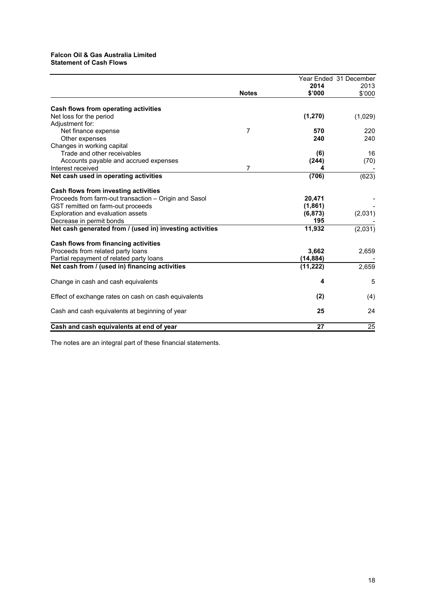## **Falcon Oil & Gas Australia Limited Statement of Cash Flows**

|                                                          |                |           | Year Ended 31 December |
|----------------------------------------------------------|----------------|-----------|------------------------|
|                                                          |                | 2014      | 2013                   |
|                                                          | <b>Notes</b>   | \$'000    | \$'000                 |
| Cash flows from operating activities                     |                |           |                        |
| Net loss for the period                                  |                | (1, 270)  | (1,029)                |
| Adjustment for:                                          |                |           |                        |
| Net finance expense                                      | $\overline{7}$ | 570       | 220                    |
| Other expenses                                           |                | 240       | 240                    |
| Changes in working capital                               |                |           |                        |
| Trade and other receivables                              |                | (6)       | 16                     |
| Accounts payable and accrued expenses                    |                | (244)     | (70)                   |
| Interest received                                        | 7              |           |                        |
| Net cash used in operating activities                    |                | (706)     | (623)                  |
| Cash flows from investing activities                     |                |           |                        |
| Proceeds from farm-out transaction - Origin and Sasol    |                | 20,471    |                        |
| GST remitted on farm-out proceeds                        |                | (1,861)   |                        |
| Exploration and evaluation assets                        |                | (6, 873)  | (2,031)                |
| Decrease in permit bonds                                 |                | 195       |                        |
| Net cash generated from / (used in) investing activities |                | 11,932    | (2,031)                |
| Cash flows from financing activities                     |                |           |                        |
| Proceeds from related party loans                        |                | 3,662     | 2,659                  |
| Partial repayment of related party loans                 |                | (14, 884) |                        |
| Net cash from / (used in) financing activities           |                | (11, 222) | 2,659                  |
| Change in cash and cash equivalents                      |                | 4         | 5                      |
| Effect of exchange rates on cash on cash equivalents     |                | (2)       | (4)                    |
| Cash and cash equivalents at beginning of year           |                | 25        | 24                     |
| Cash and cash equivalents at end of year                 |                | 27        | 25                     |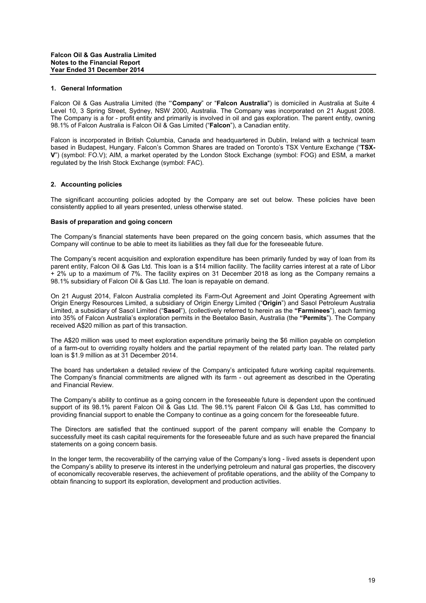#### **1. General Information**

Falcon Oil & Gas Australia Limited (the "'**Company**" or "**Falcon Australia**") is domiciled in Australia at Suite 4 Level 10, 3 Spring Street, Sydney, NSW 2000, Australia. The Company was incorporated on 21 August 2008. The Company is a for - profit entity and primarily is involved in oil and gas exploration. The parent entity, owning 98.1% of Falcon Australia is Falcon Oil & Gas Limited ("**Falcon**"), a Canadian entity.

Falcon is incorporated in British Columbia, Canada and headquartered in Dublin, Ireland with a technical team based in Budapest, Hungary. Falcon's Common Shares are traded on Toronto's TSX Venture Exchange ("**TSX-V**") (symbol: FO.V); AIM, a market operated by the London Stock Exchange (symbol: FOG) and ESM, a market regulated by the Irish Stock Exchange (symbol: FAC).

## **2. Accounting policies**

The significant accounting policies adopted by the Company are set out below. These policies have been consistently applied to all years presented, unless otherwise stated.

## **Basis of preparation and going concern**

The Company's financial statements have been prepared on the going concern basis, which assumes that the Company will continue to be able to meet its liabilities as they fall due for the foreseeable future.

The Company's recent acquisition and exploration expenditure has been primarily funded by way of loan from its parent entity, Falcon Oil & Gas Ltd. This loan is a \$14 million facility. The facility carries interest at a rate of Libor + 2% up to a maximum of 7%. The facility expires on 31 December 2018 as long as the Company remains a 98.1% subsidiary of Falcon Oil & Gas Ltd. The loan is repayable on demand.

On 21 August 2014, Falcon Australia completed its Farm-Out Agreement and Joint Operating Agreement with Origin Energy Resources Limited, a subsidiary of Origin Energy Limited ("**Origin**") and Sasol Petroleum Australia Limited, a subsidiary of Sasol Limited ("**Sasol**"), (collectively referred to herein as the **"Farminees**"), each farming into 35% of Falcon Australia's exploration permits in the Beetaloo Basin, Australia (the **"Permits**"). The Company received A\$20 million as part of this transaction.

The A\$20 million was used to meet exploration expenditure primarily being the \$6 million payable on completion of a farm-out to overriding royalty holders and the partial repayment of the related party loan. The related party loan is \$1.9 million as at 31 December 2014.

The board has undertaken a detailed review of the Company's anticipated future working capital requirements. The Company's financial commitments are aligned with its farm - out agreement as described in the Operating and Financial Review.

The Company's ability to continue as a going concern in the foreseeable future is dependent upon the continued support of its 98.1% parent Falcon Oil & Gas Ltd. The 98.1% parent Falcon Oil & Gas Ltd, has committed to providing financial support to enable the Company to continue as a going concern for the foreseeable future.

The Directors are satisfied that the continued support of the parent company will enable the Company to successfully meet its cash capital requirements for the foreseeable future and as such have prepared the financial statements on a going concern basis.

In the longer term, the recoverability of the carrying value of the Company's long - lived assets is dependent upon the Company's ability to preserve its interest in the underlying petroleum and natural gas properties, the discovery of economically recoverable reserves, the achievement of profitable operations, and the ability of the Company to obtain financing to support its exploration, development and production activities.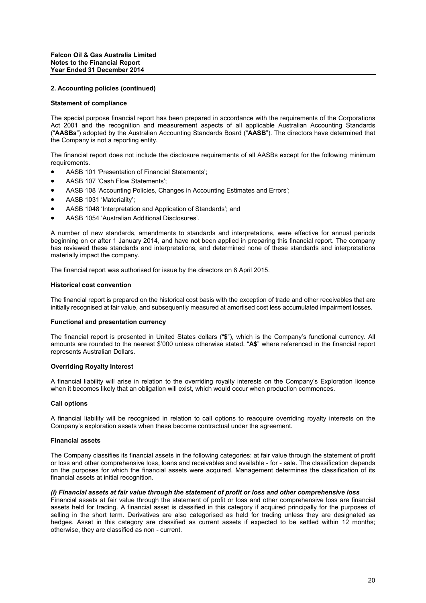#### **Statement of compliance**

The special purpose financial report has been prepared in accordance with the requirements of the Corporations Act 2001 and the recognition and measurement aspects of all applicable Australian Accounting Standards ("**AASBs**") adopted by the Australian Accounting Standards Board ("**AASB**"). The directors have determined that the Company is not a reporting entity.

The financial report does not include the disclosure requirements of all AASBs except for the following minimum requirements.

- AASB 101 'Presentation of Financial Statements';
- AASB 107 'Cash Flow Statements';
- AASB 108 'Accounting Policies, Changes in Accounting Estimates and Errors';
- AASB 1031 'Materiality';
- AASB 1048 'Interpretation and Application of Standards'; and
- AASB 1054 'Australian Additional Disclosures'.

A number of new standards, amendments to standards and interpretations, were effective for annual periods beginning on or after 1 January 2014, and have not been applied in preparing this financial report. The company has reviewed these standards and interpretations, and determined none of these standards and interpretations materially impact the company.

The financial report was authorised for issue by the directors on 8 April 2015.

#### **Historical cost convention**

The financial report is prepared on the historical cost basis with the exception of trade and other receivables that are initially recognised at fair value, and subsequently measured at amortised cost less accumulated impairment losses.

#### **Functional and presentation currency**

The financial report is presented in United States dollars ("**\$**"), which is the Company's functional currency. All amounts are rounded to the nearest \$'000 unless otherwise stated. "**A\$**" where referenced in the financial report represents Australian Dollars.

#### **Overriding Royalty Interest**

A financial liability will arise in relation to the overriding royalty interests on the Company's Exploration licence when it becomes likely that an obligation will exist, which would occur when production commences.

#### **Call options**

A financial liability will be recognised in relation to call options to reacquire overriding royalty interests on the Company's exploration assets when these become contractual under the agreement.

#### **Financial assets**

The Company classifies its financial assets in the following categories: at fair value through the statement of profit or loss and other comprehensive loss, loans and receivables and available - for - sale. The classification depends on the purposes for which the financial assets were acquired. Management determines the classification of its financial assets at initial recognition.

#### *(i) Financial assets at fair value through the statement of profit or loss and other comprehensive loss*

Financial assets at fair value through the statement of profit or loss and other comprehensive loss are financial assets held for trading. A financial asset is classified in this category if acquired principally for the purposes of selling in the short term. Derivatives are also categorised as held for trading unless they are designated as hedges. Asset in this category are classified as current assets if expected to be settled within 12 months; otherwise, they are classified as non - current.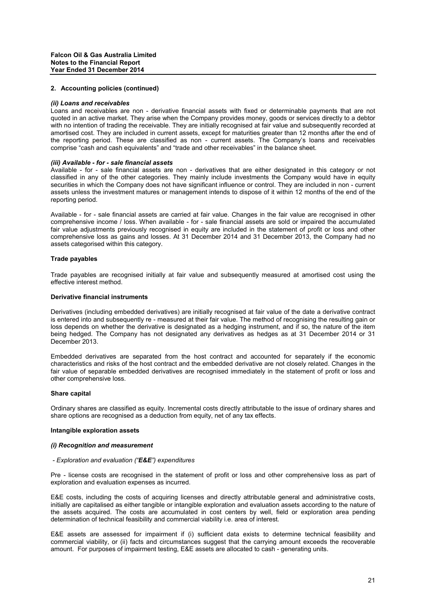#### *(ii) Loans and receivables*

Loans and receivables are non - derivative financial assets with fixed or determinable payments that are not quoted in an active market. They arise when the Company provides money, goods or services directly to a debtor with no intention of trading the receivable. They are initially recognised at fair value and subsequently recorded at amortised cost. They are included in current assets, except for maturities greater than 12 months after the end of the reporting period. These are classified as non - current assets. The Company's loans and receivables comprise "cash and cash equivalents" and "trade and other receivables" in the balance sheet.

#### *(iii) Available - for - sale financial assets*

Available - for - sale financial assets are non - derivatives that are either designated in this category or not classified in any of the other categories. They mainly include investments the Company would have in equity securities in which the Company does not have significant influence or control. They are included in non - current assets unless the investment matures or management intends to dispose of it within 12 months of the end of the reporting period.

Available - for - sale financial assets are carried at fair value. Changes in the fair value are recognised in other comprehensive income / loss. When available - for - sale financial assets are sold or impaired the accumulated fair value adjustments previously recognised in equity are included in the statement of profit or loss and other comprehensive loss as gains and losses. At 31 December 2014 and 31 December 2013, the Company had no assets categorised within this category.

#### **Trade payables**

Trade payables are recognised initially at fair value and subsequently measured at amortised cost using the effective interest method.

## **Derivative financial instruments**

Derivatives (including embedded derivatives) are initially recognised at fair value of the date a derivative contract is entered into and subsequently re - measured at their fair value. The method of recognising the resulting gain or loss depends on whether the derivative is designated as a hedging instrument, and if so, the nature of the item being hedged. The Company has not designated any derivatives as hedges as at 31 December 2014 or 31 December 2013.

Embedded derivatives are separated from the host contract and accounted for separately if the economic characteristics and risks of the host contract and the embedded derivative are not closely related. Changes in the fair value of separable embedded derivatives are recognised immediately in the statement of profit or loss and other comprehensive loss.

#### **Share capital**

Ordinary shares are classified as equity. Incremental costs directly attributable to the issue of ordinary shares and share options are recognised as a deduction from equity, net of any tax effects.

#### **Intangible exploration assets**

#### *(i) Recognition and measurement*

#### *- Exploration and evaluation ("E&E") expenditures*

Pre - license costs are recognised in the statement of profit or loss and other comprehensive loss as part of exploration and evaluation expenses as incurred.

E&E costs, including the costs of acquiring licenses and directly attributable general and administrative costs, initially are capitalised as either tangible or intangible exploration and evaluation assets according to the nature of the assets acquired. The costs are accumulated in cost centers by well, field or exploration area pending determination of technical feasibility and commercial viability i.e. area of interest.

E&E assets are assessed for impairment if (i) sufficient data exists to determine technical feasibility and commercial viability, or (ii) facts and circumstances suggest that the carrying amount exceeds the recoverable amount. For purposes of impairment testing, E&E assets are allocated to cash - generating units.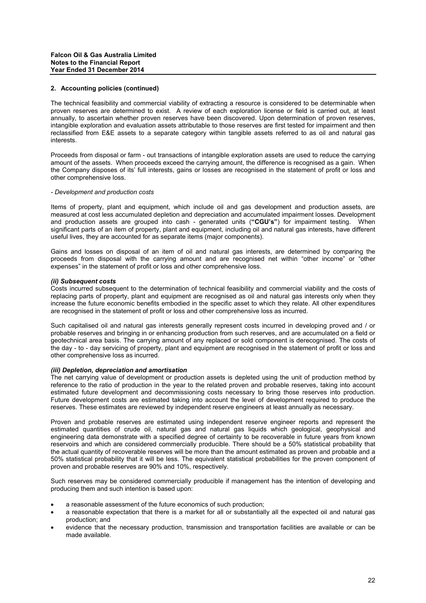The technical feasibility and commercial viability of extracting a resource is considered to be determinable when proven reserves are determined to exist. A review of each exploration license or field is carried out, at least annually, to ascertain whether proven reserves have been discovered. Upon determination of proven reserves, intangible exploration and evaluation assets attributable to those reserves are first tested for impairment and then reclassified from E&E assets to a separate category within tangible assets referred to as oil and natural gas interests.

Proceeds from disposal or farm - out transactions of intangible exploration assets are used to reduce the carrying amount of the assets. When proceeds exceed the carrying amount, the difference is recognised as a gain. When the Company disposes of its' full interests, gains or losses are recognised in the statement of profit or loss and other comprehensive loss.

#### *- Development and production costs*

Items of property, plant and equipment, which include oil and gas development and production assets, are measured at cost less accumulated depletion and depreciation and accumulated impairment losses. Development and production assets are grouped into cash - generated units (**"CGU's"**) for impairment testing. When significant parts of an item of property, plant and equipment, including oil and natural gas interests, have different useful lives, they are accounted for as separate items (major components).

Gains and losses on disposal of an item of oil and natural gas interests, are determined by comparing the proceeds from disposal with the carrying amount and are recognised net within "other income" or "other expenses" in the statement of profit or loss and other comprehensive loss.

#### *(ii) Subsequent costs*

Costs incurred subsequent to the determination of technical feasibility and commercial viability and the costs of replacing parts of property, plant and equipment are recognised as oil and natural gas interests only when they increase the future economic benefits embodied in the specific asset to which they relate. All other expenditures are recognised in the statement of profit or loss and other comprehensive loss as incurred.

Such capitalised oil and natural gas interests generally represent costs incurred in developing proved and / or probable reserves and bringing in or enhancing production from such reserves, and are accumulated on a field or geotechnical area basis. The carrying amount of any replaced or sold component is derecognised. The costs of the day - to - day servicing of property, plant and equipment are recognised in the statement of profit or loss and other comprehensive loss as incurred.

### *(iii) Depletion, depreciation and amortisation*

The net carrying value of development or production assets is depleted using the unit of production method by reference to the ratio of production in the year to the related proven and probable reserves, taking into account estimated future development and decommissioning costs necessary to bring those reserves into production. Future development costs are estimated taking into account the level of development required to produce the reserves. These estimates are reviewed by independent reserve engineers at least annually as necessary.

Proven and probable reserves are estimated using independent reserve engineer reports and represent the estimated quantities of crude oil, natural gas and natural gas liquids which geological, geophysical and engineering data demonstrate with a specified degree of certainty to be recoverable in future years from known reservoirs and which are considered commercially producible. There should be a 50% statistical probability that the actual quantity of recoverable reserves will be more than the amount estimated as proven and probable and a 50% statistical probability that it will be less. The equivalent statistical probabilities for the proven component of proven and probable reserves are 90% and 10%, respectively.

Such reserves may be considered commercially producible if management has the intention of developing and producing them and such intention is based upon:

- a reasonable assessment of the future economics of such production;
- a reasonable expectation that there is a market for all or substantially all the expected oil and natural gas production; and
- evidence that the necessary production, transmission and transportation facilities are available or can be made available.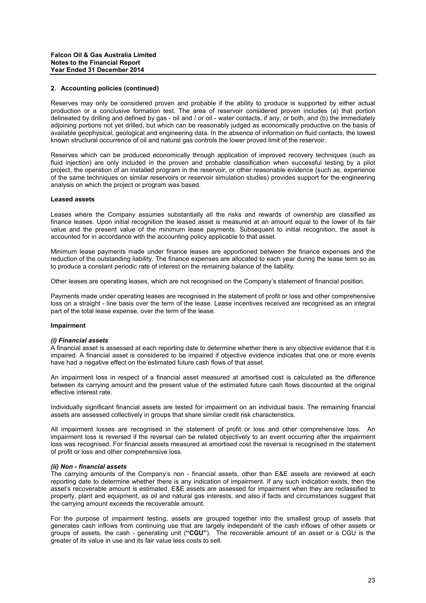Reserves may only be considered proven and probable if the ability to produce is supported by either actual production or a conclusive formation test. The area of reservoir considered proven includes (a) that portion delineated by drilling and defined by gas - oil and / or oil - water contacts, if any, or both, and (b) the immediately adjoining portions not yet drilled, but which can be reasonably judged as economically productive on the basis of available geophysical, geological and engineering data. In the absence of information on fluid contacts, the lowest known structural occurrence of oil and natural gas controls the lower proved limit of the reservoir.

Reserves which can be produced economically through application of improved recovery techniques (such as fluid injection) are only included in the proven and probable classification when successful testing by a pilot project, the operation of an installed program in the reservoir, or other reasonable evidence (such as, experience of the same techniques on similar reservoirs or reservoir simulation studies) provides support for the engineering analysis on which the project or program was based.

#### **Leased assets**

Leases where the Company assumes substantially all the risks and rewards of ownership are classified as finance leases. Upon initial recognition the leased asset is measured at an amount equal to the lower of its fair value and the present value of the minimum lease payments. Subsequent to initial recognition, the asset is accounted for in accordance with the accounting policy applicable to that asset.

Minimum lease payments made under finance leases are apportioned between the finance expenses and the reduction of the outstanding liability. The finance expenses are allocated to each year during the lease term so as to produce a constant periodic rate of interest on the remaining balance of the liability.

Other leases are operating leases, which are not recognised on the Company's statement of financial position.

Payments made under operating leases are recognised in the statement of profit or loss and other comprehensive loss on a straight - line basis over the term of the lease. Lease incentives received are recognised as an integral part of the total lease expense, over the term of the lease.

#### **Impairment**

#### *(i) Financial assets*

A financial asset is assessed at each reporting date to determine whether there is any objective evidence that it is impaired. A financial asset is considered to be impaired if objective evidence indicates that one or more events have had a negative effect on the estimated future cash flows of that asset.

An impairment loss in respect of a financial asset measured at amortised cost is calculated as the difference between its carrying amount and the present value of the estimated future cash flows discounted at the original effective interest rate.

Individually significant financial assets are tested for impairment on an individual basis. The remaining financial assets are assessed collectively in groups that share similar credit risk characteristics.

All impairment losses are recognised in the statement of profit or loss and other comprehensive loss. An impairment loss is reversed if the reversal can be related objectively to an event occurring after the impairment loss was recognised. For financial assets measured at amortised cost the reversal is recognised in the statement of profit or loss and other comprehensive loss.

#### *(ii) Non - financial assets*

The carrying amounts of the Company's non - financial assets, other than E&E assets are reviewed at each reporting date to determine whether there is any indication of impairment. If any such indication exists, then the asset's recoverable amount is estimated. E&E assets are assessed for impairment when they are reclassified to property, plant and equipment, as oil and natural gas interests, and also if facts and circumstances suggest that the carrying amount exceeds the recoverable amount.

For the purpose of impairment testing, assets are grouped together into the smallest group of assets that generates cash inflows from continuing use that are largely independent of the cash inflows of other assets or groups of assets, the cash - generating unit (**"CGU"**). The recoverable amount of an asset or a CGU is the greater of its value in use and its fair value less costs to sell.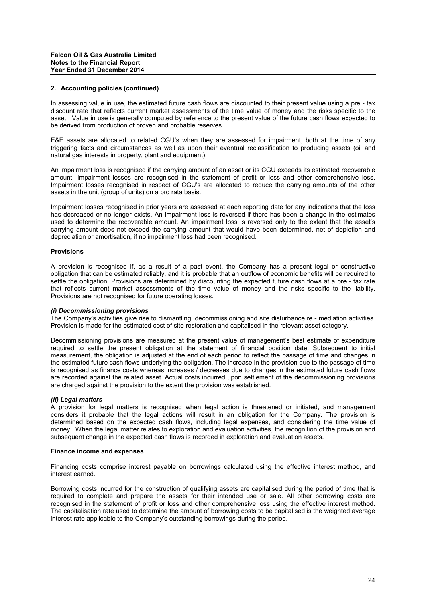In assessing value in use, the estimated future cash flows are discounted to their present value using a pre - tax discount rate that reflects current market assessments of the time value of money and the risks specific to the asset. Value in use is generally computed by reference to the present value of the future cash flows expected to be derived from production of proven and probable reserves.

E&E assets are allocated to related CGU's when they are assessed for impairment, both at the time of any triggering facts and circumstances as well as upon their eventual reclassification to producing assets (oil and natural gas interests in property, plant and equipment).

An impairment loss is recognised if the carrying amount of an asset or its CGU exceeds its estimated recoverable amount. Impairment losses are recognised in the statement of profit or loss and other comprehensive loss. Impairment losses recognised in respect of CGU's are allocated to reduce the carrying amounts of the other assets in the unit (group of units) on a pro rata basis.

Impairment losses recognised in prior years are assessed at each reporting date for any indications that the loss has decreased or no longer exists. An impairment loss is reversed if there has been a change in the estimates used to determine the recoverable amount. An impairment loss is reversed only to the extent that the asset's carrying amount does not exceed the carrying amount that would have been determined, net of depletion and depreciation or amortisation, if no impairment loss had been recognised.

#### **Provisions**

A provision is recognised if, as a result of a past event, the Company has a present legal or constructive obligation that can be estimated reliably, and it is probable that an outflow of economic benefits will be required to settle the obligation. Provisions are determined by discounting the expected future cash flows at a pre - tax rate that reflects current market assessments of the time value of money and the risks specific to the liability. Provisions are not recognised for future operating losses.

#### *(i) Decommissioning provisions*

The Company's activities give rise to dismantling, decommissioning and site disturbance re - mediation activities. Provision is made for the estimated cost of site restoration and capitalised in the relevant asset category.

Decommissioning provisions are measured at the present value of management's best estimate of expenditure required to settle the present obligation at the statement of financial position date. Subsequent to initial measurement, the obligation is adjusted at the end of each period to reflect the passage of time and changes in the estimated future cash flows underlying the obligation. The increase in the provision due to the passage of time is recognised as finance costs whereas increases / decreases due to changes in the estimated future cash flows are recorded against the related asset. Actual costs incurred upon settlement of the decommissioning provisions are charged against the provision to the extent the provision was established.

#### *(ii) Legal matters*

A provision for legal matters is recognised when legal action is threatened or initiated, and management considers it probable that the legal actions will result in an obligation for the Company. The provision is determined based on the expected cash flows, including legal expenses, and considering the time value of money. When the legal matter relates to exploration and evaluation activities, the recognition of the provision and subsequent change in the expected cash flows is recorded in exploration and evaluation assets.

#### **Finance income and expenses**

Financing costs comprise interest payable on borrowings calculated using the effective interest method, and interest earned.

Borrowing costs incurred for the construction of qualifying assets are capitalised during the period of time that is required to complete and prepare the assets for their intended use or sale. All other borrowing costs are recognised in the statement of profit or loss and other comprehensive loss using the effective interest method. The capitalisation rate used to determine the amount of borrowing costs to be capitalised is the weighted average interest rate applicable to the Company's outstanding borrowings during the period.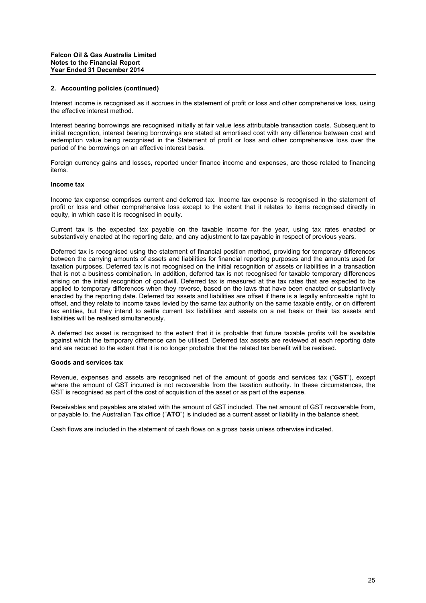Interest income is recognised as it accrues in the statement of profit or loss and other comprehensive loss, using the effective interest method.

Interest bearing borrowings are recognised initially at fair value less attributable transaction costs. Subsequent to initial recognition, interest bearing borrowings are stated at amortised cost with any difference between cost and redemption value being recognised in the Statement of profit or loss and other comprehensive loss over the period of the borrowings on an effective interest basis.

Foreign currency gains and losses, reported under finance income and expenses, are those related to financing items.

# **Income tax**

Income tax expense comprises current and deferred tax. Income tax expense is recognised in the statement of profit or loss and other comprehensive loss except to the extent that it relates to items recognised directly in equity, in which case it is recognised in equity.

Current tax is the expected tax payable on the taxable income for the year, using tax rates enacted or substantively enacted at the reporting date, and any adjustment to tax payable in respect of previous years.

Deferred tax is recognised using the statement of financial position method, providing for temporary differences between the carrying amounts of assets and liabilities for financial reporting purposes and the amounts used for taxation purposes. Deferred tax is not recognised on the initial recognition of assets or liabilities in a transaction that is not a business combination. In addition, deferred tax is not recognised for taxable temporary differences arising on the initial recognition of goodwill. Deferred tax is measured at the tax rates that are expected to be applied to temporary differences when they reverse, based on the laws that have been enacted or substantively enacted by the reporting date. Deferred tax assets and liabilities are offset if there is a legally enforceable right to offset, and they relate to income taxes levied by the same tax authority on the same taxable entity, or on different tax entities, but they intend to settle current tax liabilities and assets on a net basis or their tax assets and liabilities will be realised simultaneously.

A deferred tax asset is recognised to the extent that it is probable that future taxable profits will be available against which the temporary difference can be utilised. Deferred tax assets are reviewed at each reporting date and are reduced to the extent that it is no longer probable that the related tax benefit will be realised.

#### **Goods and services tax**

Revenue, expenses and assets are recognised net of the amount of goods and services tax ("**GST**"), except where the amount of GST incurred is not recoverable from the taxation authority. In these circumstances, the GST is recognised as part of the cost of acquisition of the asset or as part of the expense.

Receivables and payables are stated with the amount of GST included. The net amount of GST recoverable from, or payable to, the Australian Tax office ("**ATO**") is included as a current asset or liability in the balance sheet.

Cash flows are included in the statement of cash flows on a gross basis unless otherwise indicated.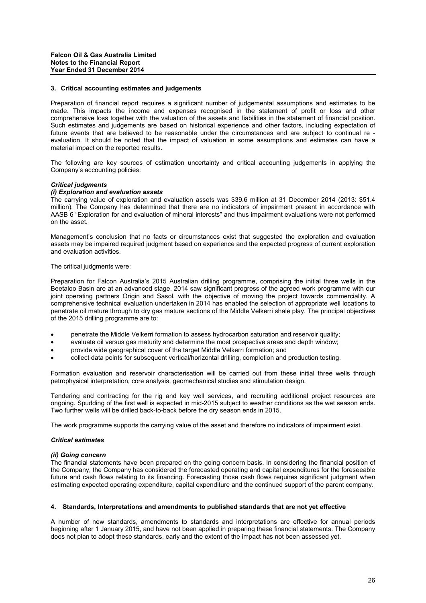#### **3. Critical accounting estimates and judgements**

Preparation of financial report requires a significant number of judgemental assumptions and estimates to be made. This impacts the income and expenses recognised in the statement of profit or loss and other comprehensive loss together with the valuation of the assets and liabilities in the statement of financial position. Such estimates and judgements are based on historical experience and other factors, including expectation of future events that are believed to be reasonable under the circumstances and are subject to continual re evaluation. It should be noted that the impact of valuation in some assumptions and estimates can have a material impact on the reported results.

The following are key sources of estimation uncertainty and critical accounting judgements in applying the Company's accounting policies:

#### *Critical judgments*

## *(i) Exploration and evaluation assets*

The carrying value of exploration and evaluation assets was \$39.6 million at 31 December 2014 (2013: \$51.4 million). The Company has determined that there are no indicators of impairment present in accordance with AASB 6 "Exploration for and evaluation of mineral interests" and thus impairment evaluations were not performed on the asset.

Management's conclusion that no facts or circumstances exist that suggested the exploration and evaluation assets may be impaired required judgment based on experience and the expected progress of current exploration and evaluation activities.

The critical judgments were:

Preparation for Falcon Australia's 2015 Australian drilling programme, comprising the initial three wells in the Beetaloo Basin are at an advanced stage. 2014 saw significant progress of the agreed work programme with our joint operating partners Origin and Sasol, with the objective of moving the project towards commerciality. A comprehensive technical evaluation undertaken in 2014 has enabled the selection of appropriate well locations to penetrate oil mature through to dry gas mature sections of the Middle Velkerri shale play. The principal objectives of the 2015 drilling programme are to:

- penetrate the Middle Velkerri formation to assess hydrocarbon saturation and reservoir quality;
- evaluate oil versus gas maturity and determine the most prospective areas and depth window;
- provide wide geographical cover of the target Middle Velkerri formation; and
- collect data points for subsequent vertical/horizontal drilling, completion and production testing.

Formation evaluation and reservoir characterisation will be carried out from these initial three wells through petrophysical interpretation, core analysis, geomechanical studies and stimulation design.

Tendering and contracting for the rig and key well services, and recruiting additional project resources are ongoing. Spudding of the first well is expected in mid-2015 subject to weather conditions as the wet season ends. Two further wells will be drilled back-to-back before the dry season ends in 2015.

The work programme supports the carrying value of the asset and therefore no indicators of impairment exist.

#### *Critical estimates*

#### *(ii) Going concern*

The financial statements have been prepared on the going concern basis. In considering the financial position of the Company, the Company has considered the forecasted operating and capital expenditures for the foreseeable future and cash flows relating to its financing. Forecasting those cash flows requires significant judgment when estimating expected operating expenditure, capital expenditure and the continued support of the parent company.

## **4. Standards, Interpretations and amendments to published standards that are not yet effective**

A number of new standards, amendments to standards and interpretations are effective for annual periods beginning after 1 January 2015, and have not been applied in preparing these financial statements. The Company does not plan to adopt these standards, early and the extent of the impact has not been assessed yet.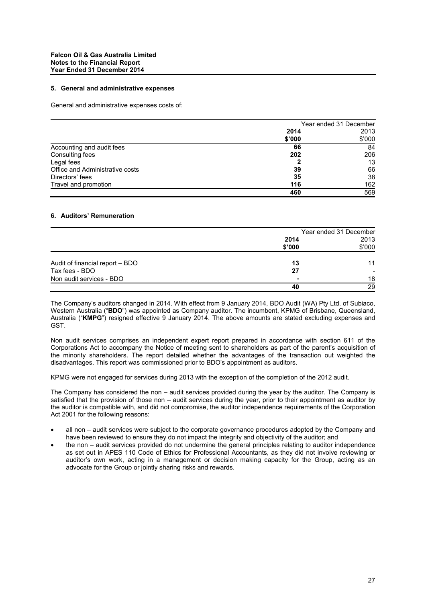#### **5. General and administrative expenses**

General and administrative expenses costs of:

|                                 | Year ended 31 December |        |
|---------------------------------|------------------------|--------|
|                                 | 2014                   | 2013   |
|                                 | \$'000                 | \$'000 |
| Accounting and audit fees       | 66                     | 84     |
| Consulting fees                 | 202                    | 206    |
| Legal fees                      |                        | 13     |
| Office and Administrative costs | 39                     | 66     |
| Directors' fees                 | 35                     | 38     |
| Travel and promotion            | 116                    | 162    |
|                                 | 460                    | 569    |

# **6. Auditors' Remuneration**

|                                 | Year ended 31 December |        |
|---------------------------------|------------------------|--------|
|                                 | 2014                   | 2013   |
|                                 | \$'000                 | \$'000 |
| Audit of financial report - BDO | 13                     | 11     |
| Tax fees - BDO                  | 27                     |        |
| Non audit services - BDO        | -                      | 18     |
|                                 | 40                     | 29     |

The Company's auditors changed in 2014. With effect from 9 January 2014, BDO Audit (WA) Pty Ltd. of Subiaco, Western Australia ("**BDO**") was appointed as Company auditor. The incumbent, KPMG of Brisbane, Queensland, Australia ("**KMPG**") resigned effective 9 January 2014. The above amounts are stated excluding expenses and GST.

Non audit services comprises an independent expert report prepared in accordance with section 611 of the Corporations Act to accompany the Notice of meeting sent to shareholders as part of the parent's acquisition of the minority shareholders. The report detailed whether the advantages of the transaction out weighted the disadvantages. This report was commissioned prior to BDO's appointment as auditors.

KPMG were not engaged for services during 2013 with the exception of the completion of the 2012 audit.

The Company has considered the non – audit services provided during the year by the auditor. The Company is satisfied that the provision of those non – audit services during the year, prior to their appointment as auditor by the auditor is compatible with, and did not compromise, the auditor independence requirements of the Corporation Act 2001 for the following reasons:

- all non audit services were subject to the corporate governance procedures adopted by the Company and have been reviewed to ensure they do not impact the integrity and objectivity of the auditor; and
- the non audit services provided do not undermine the general principles relating to auditor independence as set out in APES 110 Code of Ethics for Professional Accountants, as they did not involve reviewing or auditor's own work, acting in a management or decision making capacity for the Group, acting as an advocate for the Group or jointly sharing risks and rewards.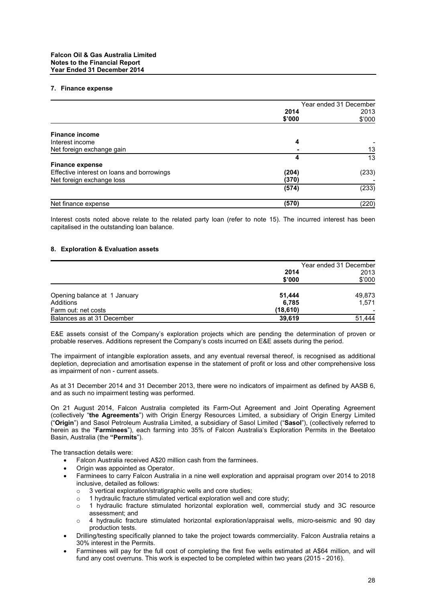## **7. Finance expense**

|                                            | Year ended 31 December |        |
|--------------------------------------------|------------------------|--------|
|                                            | 2014                   | 2013   |
|                                            | \$'000                 | \$'000 |
| <b>Finance income</b>                      |                        |        |
| Interest income                            | 4                      |        |
| Net foreign exchange gain                  |                        | 13     |
|                                            | 4                      | 13     |
| <b>Finance expense</b>                     |                        |        |
| Effective interest on loans and borrowings | (204)                  | (233)  |
| Net foreign exchange loss                  | (370)                  |        |
|                                            | (574)                  | (233)  |
| Net finance expense                        | (570)                  | (220)  |

Interest costs noted above relate to the related party loan (refer to note 15). The incurred interest has been capitalised in the outstanding loan balance.

#### **8. Exploration & Evaluation assets**

|                              | Year ended 31 December |        |
|------------------------------|------------------------|--------|
|                              | 2014                   | 2013   |
|                              | \$'000                 | \$'000 |
| Opening balance at 1 January | 51,444                 | 49.873 |
| Additions                    | 6,785                  | 1.571  |
| Farm out: net costs          | (18,610)               |        |
| Balances as at 31 December   | 39,619                 | 51,444 |

E&E assets consist of the Company's exploration projects which are pending the determination of proven or probable reserves. Additions represent the Company's costs incurred on E&E assets during the period.

The impairment of intangible exploration assets, and any eventual reversal thereof, is recognised as additional depletion, depreciation and amortisation expense in the statement of profit or loss and other comprehensive loss as impairment of non - current assets.

As at 31 December 2014 and 31 December 2013, there were no indicators of impairment as defined by AASB 6, and as such no impairment testing was performed.

On 21 August 2014, Falcon Australia completed its Farm-Out Agreement and Joint Operating Agreement (collectively "**the Agreements**") with Origin Energy Resources Limited, a subsidiary of Origin Energy Limited ("**Origin**") and Sasol Petroleum Australia Limited, a subsidiary of Sasol Limited ("**Sasol**"), (collectively referred to herein as the "**Farminees**"), each farming into 35% of Falcon Australia's Exploration Permits in the Beetaloo Basin, Australia (the **"Permits**").

The transaction details were:

- Falcon Australia received A\$20 million cash from the farminees.
- Origin was appointed as Operator.
- Farminees to carry Falcon Australia in a nine well exploration and appraisal program over 2014 to 2018 inclusive, detailed as follows:
	- o 3 vertical exploration/stratigraphic wells and core studies:
	- o 1 hydraulic fracture stimulated vertical exploration well and core study;
	- o 1 hydraulic fracture stimulated horizontal exploration well, commercial study and 3C resource assessment; and
	- o 4 hydraulic fracture stimulated horizontal exploration/appraisal wells, micro-seismic and 90 day production tests.
- Drilling/testing specifically planned to take the project towards commerciality. Falcon Australia retains a 30% interest in the Permits.
- Farminees will pay for the full cost of completing the first five wells estimated at A\$64 million, and will fund any cost overruns. This work is expected to be completed within two years (2015 - 2016).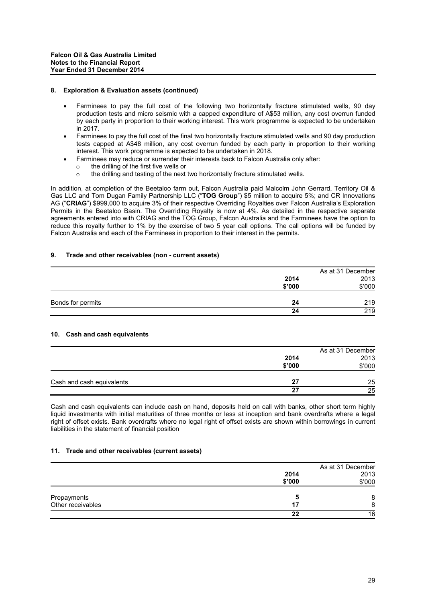## **8. Exploration & Evaluation assets (continued)**

- Farminees to pay the full cost of the following two horizontally fracture stimulated wells, 90 day production tests and micro seismic with a capped expenditure of A\$53 million, any cost overrun funded by each party in proportion to their working interest. This work programme is expected to be undertaken in 2017.
- Farminees to pay the full cost of the final two horizontally fracture stimulated wells and 90 day production tests capped at A\$48 million, any cost overrun funded by each party in proportion to their working interest. This work programme is expected to be undertaken in 2018.
- Farminees may reduce or surrender their interests back to Falcon Australia only after:
	- o the drilling of the first five wells or
	- o the drilling and testing of the next two horizontally fracture stimulated wells.

In addition, at completion of the Beetaloo farm out, Falcon Australia paid Malcolm John Gerrard, Territory Oil & Gas LLC and Tom Dugan Family Partnership LLC ("**TOG Group**") \$5 million to acquire 5%; and CR Innovations AG ("**CRIAG**") \$999,000 to acquire 3% of their respective Overriding Royalties over Falcon Australia's Exploration Permits in the Beetaloo Basin. The Overriding Royalty is now at 4%. As detailed in the respective separate agreements entered into with CRIAG and the TOG Group, Falcon Australia and the Farminees have the option to reduce this royalty further to 1% by the exercise of two 5 year call options. The call options will be funded by Falcon Australia and each of the Farminees in proportion to their interest in the permits.

## **9. Trade and other receivables (non - current assets)**

|                   |        | As at 31 December |
|-------------------|--------|-------------------|
|                   | 2014   | 2013              |
|                   | \$'000 | \$'000            |
| Bonds for permits | 24     | 219               |
|                   | 24     | 219               |

# **10. Cash and cash equivalents**

|                           |        | As at 31 December |
|---------------------------|--------|-------------------|
|                           | 2014   | 2013              |
|                           | \$'000 | \$'000            |
| Cash and cash equivalents | 27     | 25                |
|                           | 27     | 25                |

Cash and cash equivalents can include cash on hand, deposits held on call with banks, other short term highly liquid investments with initial maturities of three months or less at inception and bank overdrafts where a legal right of offset exists. Bank overdrafts where no legal right of offset exists are shown within borrowings in current liabilities in the statement of financial position

## **11. Trade and other receivables (current assets)**

|                   | 2014<br>\$'000 | As at 31 December<br>2013<br>\$'000 |
|-------------------|----------------|-------------------------------------|
| Prepayments       | 5              | 8                                   |
| Other receivables | 17             | 8                                   |
|                   | 22             | 16                                  |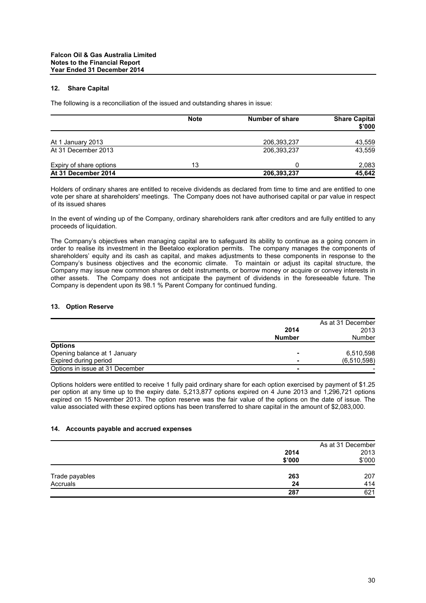# **12. Share Capital**

The following is a reconciliation of the issued and outstanding shares in issue:

|                         | <b>Note</b> | Number of share | <b>Share Capital</b><br>\$'000 |
|-------------------------|-------------|-----------------|--------------------------------|
| At 1 January 2013       |             | 206,393,237     | 43,559                         |
| At 31 December 2013     |             | 206,393,237     | 43,559                         |
| Expiry of share options | 13          |                 | 2,083                          |
| At 31 December 2014     |             | 206,393,237     | 45,642                         |

Holders of ordinary shares are entitled to receive dividends as declared from time to time and are entitled to one vote per share at shareholders' meetings. The Company does not have authorised capital or par value in respect of its issued shares

In the event of winding up of the Company, ordinary shareholders rank after creditors and are fully entitled to any proceeds of liquidation.

The Company's objectives when managing capital are to safeguard its ability to continue as a going concern in order to realise its investment in the Beetaloo exploration permits. The company manages the components of shareholders' equity and its cash as capital, and makes adjustments to these components in response to the Company's business objectives and the economic climate. To maintain or adjust its capital structure, the Company may issue new common shares or debt instruments, or borrow money or acquire or convey interests in other assets. The Company does not anticipate the payment of dividends in the foreseeable future. The Company is dependent upon its 98.1 % Parent Company for continued funding.

#### **13. Option Reserve**

|                                 |                          | As at 31 December |
|---------------------------------|--------------------------|-------------------|
|                                 | 2014                     | 2013              |
|                                 | <b>Number</b>            | Number            |
| <b>Options</b>                  |                          |                   |
| Opening balance at 1 January    |                          | 6,510,598         |
| Expired during period           |                          | (6, 510, 598)     |
| Options in issue at 31 December | $\overline{\phantom{0}}$ |                   |

Options holders were entitled to receive 1 fully paid ordinary share for each option exercised by payment of \$1.25 per option at any time up to the expiry date. 5,213,877 options expired on 4 June 2013 and 1,296,721 options expired on 15 November 2013. The option reserve was the fair value of the options on the date of issue. The value associated with these expired options has been transferred to share capital in the amount of \$2,083,000.

## **14. Accounts payable and accrued expenses**

|                |        | As at 31 December |
|----------------|--------|-------------------|
|                | 2014   | 2013              |
|                | \$'000 | \$'000            |
| Trade payables | 263    | 207               |
| Accruals       | 24     | 414               |
|                | 287    | 621               |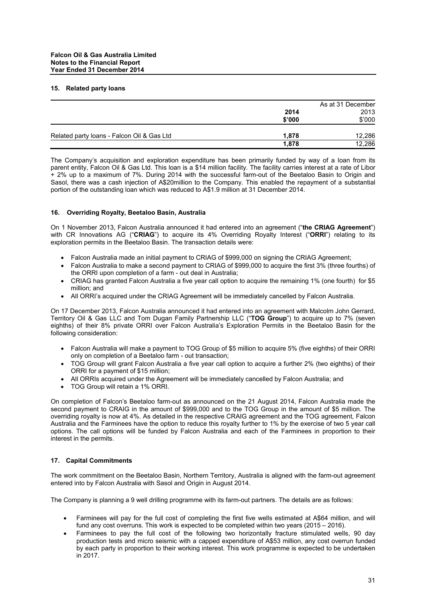## **15. Related party loans**

|                                            | As at 31 December |        |
|--------------------------------------------|-------------------|--------|
|                                            | 2014              | 2013   |
|                                            | \$'000            | \$'000 |
| Related party loans - Falcon Oil & Gas Ltd | 1.878             | 12,286 |
|                                            | 1.878             | 12.286 |

The Company's acquisition and exploration expenditure has been primarily funded by way of a loan from its parent entity, Falcon Oil & Gas Ltd. This loan is a \$14 million facility. The facility carries interest at a rate of Libor + 2% up to a maximum of 7%. During 2014 with the successful farm-out of the Beetaloo Basin to Origin and Sasol, there was a cash injection of A\$20million to the Company. This enabled the repayment of a substantial portion of the outstanding loan which was reduced to A\$1.9 million at 31 December 2014.

# **16. Overriding Royalty, Beetaloo Basin, Australia**

On 1 November 2013, Falcon Australia announced it had entered into an agreement ("**the CRIAG Agreement**") with CR Innovations AG ("**CRIAG**") to acquire its 4% Overriding Royalty Interest ("**ORRI**") relating to its exploration permits in the Beetaloo Basin. The transaction details were:

- Falcon Australia made an initial payment to CRIAG of \$999,000 on signing the CRIAG Agreement;
- Falcon Australia to make a second payment to CRIAG of \$999,000 to acquire the first 3% (three fourths) of the ORRI upon completion of a farm - out deal in Australia;
- CRIAG has granted Falcon Australia a five year call option to acquire the remaining 1% (one fourth) for \$5 million; and
- All ORRI's acquired under the CRIAG Agreement will be immediately cancelled by Falcon Australia.

On 17 December 2013, Falcon Australia announced it had entered into an agreement with Malcolm John Gerrard, Territory Oil & Gas LLC and Tom Dugan Family Partnership LLC ("**TOG Group**") to acquire up to 7% (seven eighths) of their 8% private ORRI over Falcon Australia's Exploration Permits in the Beetaloo Basin for the following consideration:

- Falcon Australia will make a payment to TOG Group of \$5 million to acquire 5% (five eighths) of their ORRI only on completion of a Beetaloo farm - out transaction;
- TOG Group will grant Falcon Australia a five year call option to acquire a further 2% (two eighths) of their ORRI for a payment of \$15 million;
- All ORRIs acquired under the Agreement will be immediately cancelled by Falcon Australia; and
- TOG Group will retain a 1% ORRI.

On completion of Falcon's Beetaloo farm-out as announced on the 21 August 2014, Falcon Australia made the second payment to CRAIG in the amount of \$999,000 and to the TOG Group in the amount of \$5 million. The overriding royalty is now at 4%. As detailed in the respective CRAIG agreement and the TOG agreement, Falcon Australia and the Farminees have the option to reduce this royalty further to 1% by the exercise of two 5 year call options. The call options will be funded by Falcon Australia and each of the Farminees in proportion to their interest in the permits.

# **17. Capital Commitments**

The work commitment on the Beetaloo Basin, Northern Territory, Australia is aligned with the farm-out agreement entered into by Falcon Australia with Sasol and Origin in August 2014.

The Company is planning a 9 well drilling programme with its farm-out partners. The details are as follows:

- Farminees will pay for the full cost of completing the first five wells estimated at A\$64 million, and will fund any cost overruns. This work is expected to be completed within two years (2015 – 2016).
- Farminees to pay the full cost of the following two horizontally fracture stimulated wells, 90 day production tests and micro seismic with a capped expenditure of A\$53 million, any cost overrun funded by each party in proportion to their working interest. This work programme is expected to be undertaken in 2017.